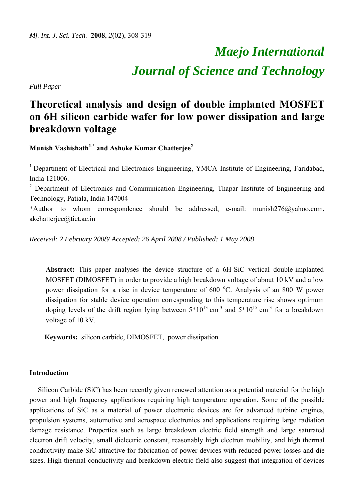# *Maejo International Journal of Science and Technology*

*Full Paper* 

# **Theoretical analysis and design of double implanted MOSFET on 6H silicon carbide wafer for low power dissipation and large breakdown voltage**

**Munish Vashishath1,\* and Ashoke Kumar Chatterjee<sup>2</sup>**

<sup>1</sup> Department of Electrical and Electronics Engineering, YMCA Institute of Engineering, Faridabad, India 121006.

 $2$  Department of Electronics and Communication Engineering, Thapar Institute of Engineering and Technology, Patiala, India 147004

\*Author to whom correspondence should be addressed, e-mail: munish276@yahoo.com, akchatterjee@tiet.ac.in

*Received: 2 February 2008/ Accepted: 26 April 2008 / Published: 1 May 2008* 

**Abstract:** This paper analyses the device structure of a 6H-SiC vertical double-implanted MOSFET (DIMOSFET) in order to provide a high breakdown voltage of about 10 kV and a low power dissipation for a rise in device temperature of 600 °C. Analysis of an 800 W power dissipation for stable device operation corresponding to this temperature rise shows optimum doping levels of the drift region lying between  $5*10^{13}$  cm<sup>-3</sup> and  $5*10^{15}$  cm<sup>-3</sup> for a breakdown voltage of 10 kV.

**Keywords:** silicon carbide, DIMOSFET, power dissipation

### **Introduction**

Silicon Carbide (SiC) has been recently given renewed attention as a potential material for the high power and high frequency applications requiring high temperature operation. Some of the possible applications of SiC as a material of power electronic devices are for advanced turbine engines, propulsion systems, automotive and aerospace electronics and applications requiring large radiation damage resistance. Properties such as large breakdown electric field strength and large saturated electron drift velocity, small dielectric constant, reasonably high electron mobility, and high thermal conductivity make SiC attractive for fabrication of power devices with reduced power losses and die sizes. High thermal conductivity and breakdown electric field also suggest that integration of devices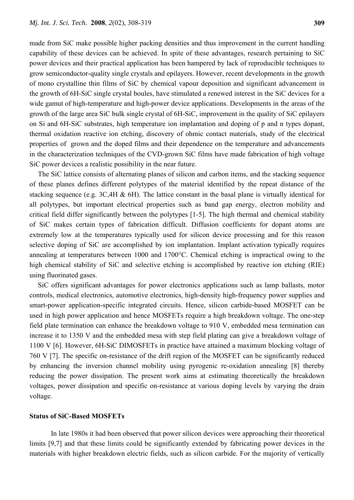made from SiC make possible higher packing densities and thus improvement in the current handling capability of these devices can be achieved. In spite of these advantages, research pertaining to SiC power devices and their practical application has been hampered by lack of reproducible techniques to grow semiconductor-quality single crystals and epilayers. However, recent developments in the growth of mono crystalline thin films of SiC by chemical vapour deposition and significant advancement in the growth of 6H-SiC single crystal boules, have stimulated a renewed interest in the SiC devices for a wide gamut of high-temperature and high-power device applications. Developments in the areas of the growth of the large area SiC bulk single crystal of 6H-SiC, improvement in the quality of SiC epilayers on Si and 6H-SiC substrates, high temperature ion implantation and doping of p and n types dopant, thermal oxidation reactive ion etching, discovery of ohmic contact materials, study of the electrical properties of grown and the doped films and their dependence on the temperature and advancements in the characterization techniques of the CVD-grown SiC films have made fabrication of high voltage SiC power devices a realistic possibility in the near future.

The SiC lattice consists of alternating planes of silicon and carbon items, and the stacking sequence of these planes defines different polytypes of the material identified by the repeat distance of the stacking sequence (e.g. 3C,4H & 6H). The lattice constant in the basal plane is virtually identical for all polytypes, but important electrical properties such as band gap energy, electron mobility and critical field differ significantly between the polytypes [1-5]. The high thermal and chemical stability of SiC makes certain types of fabrication difficult. Diffusion coefficients for dopant atoms are extremely low at the temperatures typically used for silicon device processing and for this reason selective doping of SiC are accomplished by ion implantation. Implant activation typically requires annealing at temperatures between 1000 and 1700°C. Chemical etching is impractical owing to the high chemical stability of SiC and selective etching is accomplished by reactive ion etching (RIE) using fluorinated gases.

SiC offers significant advantages for power electronics applications such as lamp ballasts, motor controls, medical electronics, automotive electronics, high-density high-frequency power supplies and smart-power application-specific integrated circuits. Hence, silicon carbide-based MOSFET can be used in high power application and hence MOSFETs require a high breakdown voltage. The one-step field plate termination can enhance the breakdown voltage to 910 V, embedded mesa termination can increase it to 1350 V and the embedded mesa with step field plating can give a breakdown voltage of 1100 V [6]. However, 6H-SiC DIMOSFETs in practice have attained a maximum blocking voltage of 760 V [7]. The specific on-resistance of the drift region of the MOSFET can be significantly reduced by enhancing the inversion channel mobility using pyrogenic re-oxidation annealing [8] thereby reducing the power dissipation. The present work aims at estimating theoretically the breakdown voltages, power dissipation and specific on-resistance at various doping levels by varying the drain voltage.

#### **Status of SiC-Based MOSFETs**

In late 1980s it had been observed that power silicon devices were approaching their theoretical limits [9,7] and that these limits could be significantly extended by fabricating power devices in the materials with higher breakdown electric fields, such as silicon carbide. For the majority of vertically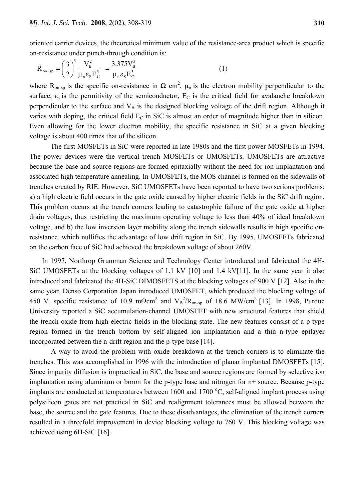oriented carrier devices, the theoretical minimum value of the resistance-area product which is specific on-resistance under punch-through condition is:

$$
R_{on-sp} = \left(\frac{3}{2}\right)^3 \frac{V_B^2}{\mu_n \epsilon_s E_C^3} = \frac{3.375 V_B^3}{\mu_n \epsilon_s E_C^3}
$$
 (1)

where R<sub>on-sp</sub> is the specific on-resistance in  $\Omega$  cm<sup>2</sup>,  $\mu_n$  is the electron mobility perpendicular to the surface,  $\varepsilon_s$  is the permitivity of the semiconductor,  $E_c$  is the critical field for avalanche breakdown perpendicular to the surface and  $V_B$  is the designed blocking voltage of the drift region. Although it varies with doping, the critical field  $E<sub>C</sub>$  in SiC is almost an order of magnitude higher than in silicon. Even allowing for the lower electron mobility, the specific resistance in SiC at a given blocking voltage is about 400 times that of the silicon.

 The first MOSFETs in SiC were reported in late 1980s and the first power MOSFETs in 1994. The power devices were the vertical trench MOSFETs or UMOSFETs. UMOSFETs are attractive because the base and source regions are formed epitaxially without the need for ion implantation and associated high temperature annealing. In UMOSFETs, the MOS channel is formed on the sidewalls of trenches created by RIE. However, SiC UMOSFETs have been reported to have two serious problems: a) a high electric field occurs in the gate oxide caused by higher electric fields in the SiC drift region. This problem occurs at the trench corners leading to catastrophic failure of the gate oxide at higher drain voltages, thus restricting the maximum operating voltage to less than 40% of ideal breakdown voltage, and b) the low inversion layer mobility along the trench sidewalls results in high specific onresistance, which nullifies the advantage of low drift region in SiC. By 1995, UMOSFETs fabricated on the carbon face of SiC had achieved the breakdown voltage of about 260V.

 In 1997, Northrop Grumman Science and Technology Center introduced and fabricated the 4H-SiC UMOSFETs at the blocking voltages of 1.1 kV [10] and 1.4 kV[11]. In the same year it also introduced and fabricated the 4H-SiC DIMOSFETS at the blocking voltages of 900 V [12]. Also in the same year, Denso Corporation Japan introduced UMOSFET, which produced the blocking voltage of 450 V, specific resistance of 10.9 m $\Omega$ cm<sup>2</sup> and V<sub>B</sub><sup>2</sup>/R<sub>on-sp</sub> of 18.6 MW/cm<sup>2</sup> [13]. In 1998, Purdue University reported a SiC accumulation-channel UMOSFET with new structural features that shield the trench oxide from high electric fields in the blocking state. The new features consist of a p-type region formed in the trench bottom by self-aligned ion implantation and a thin n-type epilayer incorporated between the n-drift region and the p-type base [14].

A way to avoid the problem with oxide breakdown at the trench corners is to eliminate the trenches. This was accomplished in 1996 with the introduction of planar implanted DMOSFETs [15]. Since impurity diffusion is impractical in SiC, the base and source regions are formed by selective ion implantation using aluminum or boron for the p-type base and nitrogen for n+ source. Because p-type implants are conducted at temperatures between 1600 and 1700 °C, self-aligned implant process using polysilicon gates are not practical in SiC and realignment tolerances must be allowed between the base, the source and the gate features. Due to these disadvantages, the elimination of the trench corners resulted in a threefold improvement in device blocking voltage to 760 V. This blocking voltage was achieved using 6H-SiC [16].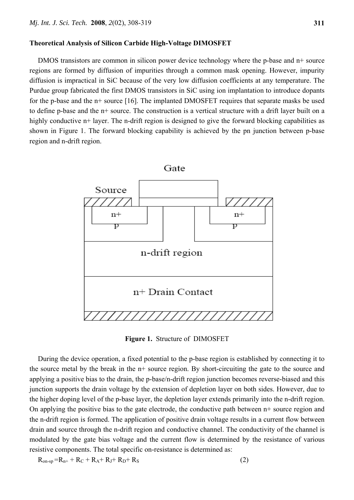#### **Theoretical Analysis of Silicon Carbide High-Voltage DIMOSFET**

DMOS transistors are common in silicon power device technology where the p-base and n+ source regions are formed by diffusion of impurities through a common mask opening. However, impurity diffusion is impractical in SiC because of the very low diffusion coefficients at any temperature. The Purdue group fabricated the first DMOS transistors in SiC using ion implantation to introduce dopants for the p-base and the n+ source [16]. The implanted DMOSFET requires that separate masks be used to define p-base and the n+ source. The construction is a vertical structure with a drift layer built on a highly conductive n+ layer. The n-drift region is designed to give the forward blocking capabilities as shown in Figure 1. The forward blocking capability is achieved by the pn junction between p-base region and n-drift region.



**Figure 1.** Structure of DIMOSFET

During the device operation, a fixed potential to the p-base region is established by connecting it to the source metal by the break in the n+ source region. By short-circuiting the gate to the source and applying a positive bias to the drain, the p-base/n-drift region junction becomes reverse-biased and this junction supports the drain voltage by the extension of depletion layer on both sides. However, due to the higher doping level of the p-base layer, the depletion layer extends primarily into the n-drift region. On applying the positive bias to the gate electrode, the conductive path between n+ source region and the n-drift region is formed. The application of positive drain voltage results in a current flow between drain and source through the n-drift region and conductive channel. The conductivity of the channel is modulated by the gate bias voltage and the current flow is determined by the resistance of various resistive components. The total specific on-resistance is determined as:

$$
R_{on-sp} = R_{n+} + R_C + R_A + R_J + R_D + R_S
$$
 (2)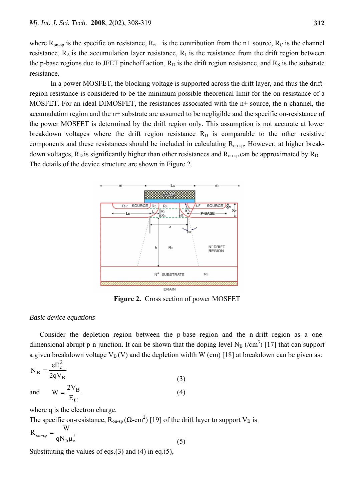where  $R_{on-sp}$  is the specific on resistance,  $R_{n+}$  is the contribution from the n+ source,  $R_C$  is the channel resistance,  $R_A$  is the accumulation layer resistance,  $R_J$  is the resistance from the drift region between the p-base regions due to JFET pinchoff action,  $R_D$  is the drift region resistance, and  $R_S$  is the substrate resistance.

In a power MOSFET, the blocking voltage is supported across the drift layer, and thus the driftregion resistance is considered to be the minimum possible theoretical limit for the on-resistance of a MOSFET. For an ideal DIMOSFET, the resistances associated with the n+ source, the n-channel, the accumulation region and the n+ substrate are assumed to be negligible and the specific on-resistance of the power MOSFET is determined by the drift region only. This assumption is not accurate at lower breakdown voltages where the drift region resistance  $R_D$  is comparable to the other resistive components and these resistances should be included in calculating R<sub>on-sp</sub>. However, at higher breakdown voltages,  $R_D$  is significantly higher than other resistances and  $R_{on-sp}$  can be approximated by  $R_D$ . The details of the device structure are shown in Figure 2.



**Figure 2.** Cross section of power MOSFET

#### *Basic device equations*

 Consider the depletion region between the p-base region and the n-drift region as a onedimensional abrupt p-n junction. It can be shown that the doping level  $N_B$  (/cm<sup>3</sup>) [17] that can support a given breakdown voltage  $V_B (V)$  and the depletion width W (cm) [18] at breakdown can be given as:

$$
N_B = \frac{\varepsilon E_c^2}{2qV_B}
$$
  
and 
$$
W = \frac{2V_B}{R}
$$
 (3)

and 
$$
W = \frac{2 V_B}{E_C}
$$
 (4)

where q is the electron charge.

The specific on-resistance,  $R_{on-sp}(\Omega \text{-} cm^2)$  [19] of the drift layer to support  $V_B$  is

$$
R_{\text{on-sp}} = \frac{W}{qN_B\mu_n^2}
$$
 (5)

Substituting the values of eqs.(3) and (4) in eq.(5),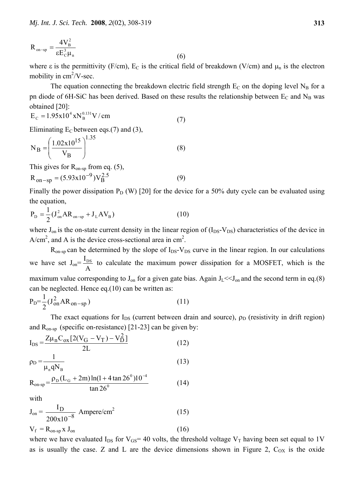$$
R_{\text{on-sp}} = \frac{4V_{\text{B}}^2}{\epsilon E_{\text{C}}^3 \mu_{\text{n}}} \tag{6}
$$

where  $\varepsilon$  is the permittivity (F/cm),  $E_C$  is the critical field of breakdown (V/cm) and  $\mu_n$  is the electron mobility in  $\text{cm}^2/\text{V-sec}$ .

The equation connecting the breakdown electric field strength  $E_C$  on the doping level  $N_B$  for a pn diode of 6H-SiC has been derived. Based on these results the relationship between  $E_C$  and  $N_B$  was obtained [20]:

$$
E_C = 1.95x10^4 xN_B^{0.131} V/cm
$$
 (7)

Eliminating  $E_C$  between eqs.(7) and (3),

$$
N_B = \left(\frac{1.02 \times 10^{15}}{V_B}\right)^{1.35}
$$
 (8)

This gives for  $R_{on-sp}$  from eq. (5),

$$
R_{on-sp} = (5.93x10^{-9})V_B^{2.5}
$$
 (9)

Finally the power dissipation  $P_D (W)$  [20] for the device for a 50% duty cycle can be evaluated using the equation,

$$
P_{D} = \frac{1}{2} (J_{on}^{2} AR_{on-sp} + J_{L} AV_{B})
$$
 (10)

where  $J_{on}$  is the on-state current density in the linear region of  $(I_{DS}-V_{DS})$  characteristics of the device in  $A/cm<sup>2</sup>$ , and A is the device cross-sectional area in cm<sup>2</sup>.

 $R_{on-sp}$  can be determined by the slope of  $I_{DS}-V_{DS}$  curve in the linear region. In our calculations we have set  $J_{on} = \frac{I_{DS}}{A}$  to calculate the maximum power dissipation for a MOSFET, which is the maximum value corresponding to  $J_{on}$  for a given gate bias. Again  $J_L \ll J_{on}$  and the second term in eq.(8) can be neglected. Hence eq.(10) can be written as:

$$
P_D = \frac{1}{2} (J_{on}^2 AR_{on-sp})
$$
\n(11)

The exact equations for  $I_{DS}$  (current between drain and source),  $\rho_D$  (resistivity in drift region) and  $R_{on-sp}$  (specific on-resistance) [21-23] can be given by:

$$
I_{DS} = \frac{Z\mu_n C_{ox} [2(V_G - V_T) - V_D^2]}{2L}
$$
 (12)

$$
\rho_D = \frac{1}{\mu_n q N_B} \tag{13}
$$

$$
R_{\text{on-sp}} = \frac{\rho_{\text{D}}(L_{\text{G}} + 2m) \ln(1 + 4 \tan 26^{\circ}) 10^{-4}}{\tan 26^{\circ}}
$$
(14)

with

$$
J_{on} = \frac{I_D}{200 \times 10^{-8}} \text{ Ampere/cm}^2
$$
 (15)  

$$
V_f = R_{on-sp} \times J_{on}
$$
 (16)

where we have evaluated  $I_{DS}$  for  $V_{GS}$  = 40 volts, the threshold voltage  $V_T$  having been set equal to 1V as is usually the case. Z and L are the device dimensions shown in Figure 2,  $C_{OX}$  is the oxide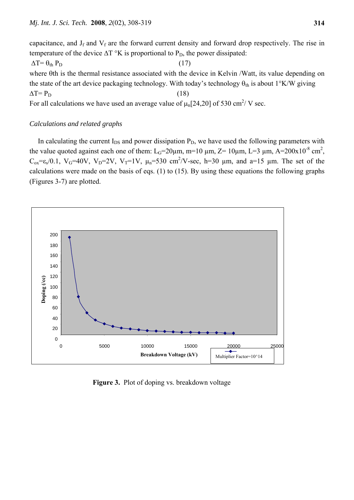capacitance, and  $J_f$  and  $V_f$  are the forward current density and forward drop respectively. The rise in temperature of the device  $\Delta T$  °K is proportional to P<sub>D</sub>, the power dissipated:  $\Delta T = \theta_{th} P_D$  (17) where θth is the thermal resistance associated with the device in Kelvin /Watt, its value depending on the state of the art device packaging technology. With today's technology  $\theta_{th}$  is about 1°K/W giving  $\Delta T = P_D$  (18) For all calculations we have used an average value of  $\mu_n[24,20]$  of 530 cm<sup>2</sup>/V sec.

## *Calculations and related graphs*

In calculating the current  $I_{DS}$  and power dissipation  $P_D$ , we have used the following parameters with the value quoted against each one of them:  $L_G=20\mu m$ , m=10  $\mu$ m, Z=10 $\mu$ m, L=3  $\mu$ m, A=200x10<sup>-8</sup> cm<sup>2</sup>,  $C_{ox} = \varepsilon_s/0.1$ ,  $V_G = 40V$ ,  $V_D = 2V$ ,  $V_T = 1V$ ,  $\mu_n = 530$  cm<sup>2</sup>/V-sec, h=30  $\mu$ m, and a=15  $\mu$ m. The set of the calculations were made on the basis of eqs. (1) to (15). By using these equations the following graphs (Figures 3-7) are plotted.



**Figure 3.** Plot of doping vs. breakdown voltage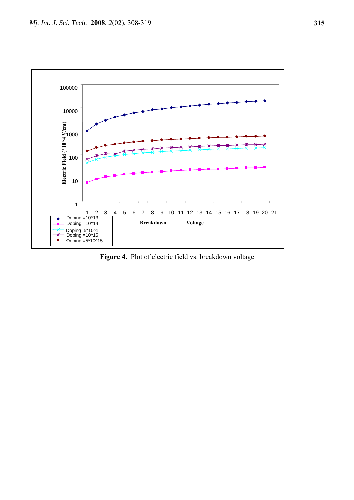

**Figure 4.** Plot of electric field vs. breakdown voltage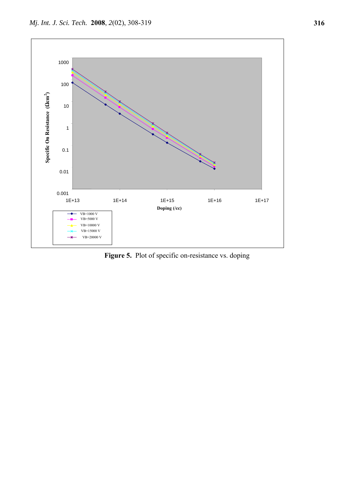

Figure 5. Plot of specific on-resistance vs. doping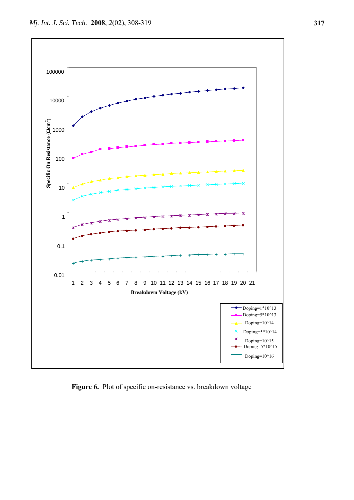

**Figure 6.** Plot of specific on-resistance vs. breakdown voltage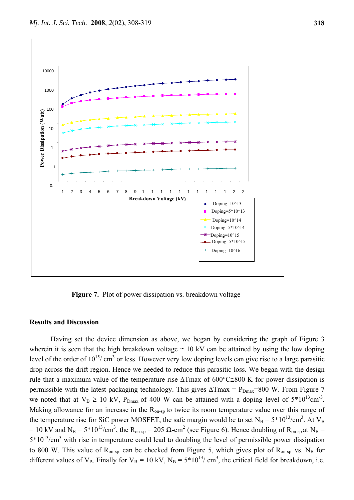

**Figure 7.** Plot of power dissipation vs. breakdown voltage

#### **Results and Discussion**

Having set the device dimension as above, we began by considering the graph of Figure 3 wherein it is seen that the high breakdown voltage  $\approx 10 \text{ kV}$  can be attained by using the low doping level of the order of  $10^{15}$ / cm<sup>3</sup> or less. However very low doping levels can give rise to a large parasitic drop across the drift region. Hence we needed to reduce this parasitic loss. We began with the design rule that a maximum value of the temperature rise ΔTmax of 600°C≅800 K for power dissipation is permissible with the latest packaging technology. This gives  $\Delta T$ max = P<sub>Dmax</sub>=800 W. From Figure 7 we noted that at  $V_B \ge 10$  kV,  $P_{Dmax}$  of 400 W can be attained with a doping level of  $5*10^{13}$ cm<sup>-3</sup>. Making allowance for an increase in the  $R_{on-sp}$  to twice its room temperature value over this range of the temperature rise for SiC power MOSFET, the safe margin would be to set  $N_B = 5*10^{13}/cm^3$ . At  $V_B$ = 10 kV and N<sub>B</sub> = 5\*10<sup>13</sup>/cm<sup>3</sup>, the R<sub>on-sp</sub> = 205  $\Omega$ -cm<sup>2</sup> (see Figure 6). Hence doubling of R<sub>on-sp</sub> at N<sub>B</sub> =  $5*10^{13}/\text{cm}^3$  with rise in temperature could lead to doubling the level of permissible power dissipation to 800 W. This value of  $R_{on-sp}$  can be checked from Figure 5, which gives plot of  $R_{on-sp}$  vs. N<sub>B</sub> for different values of  $V_B$ . Finally for  $V_B = 10 \text{ kV}$ ,  $N_B = 5*10^{13}$ / cm<sup>3</sup>, the critical field for breakdown, i.e.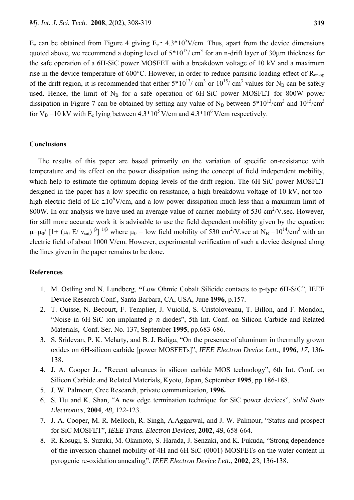E<sub>c</sub> can be obtained from Figure 4 giving  $E_c \cong 4.3*10^5$ V/cm. Thus, apart from the device dimensions quoted above, we recommend a doping level of  $5*10^{13}$  cm<sup>3</sup> for an n-drift layer of 30 µm thickness for the safe operation of a 6H-SiC power MOSFET with a breakdown voltage of 10 kV and a maximum rise in the device temperature of 600 $^{\circ}$ C. However, in order to reduce parasitic loading effect of R<sub>on-sp</sub> of the drift region, it is recommended that either  $5*10^{13}$ / cm<sup>3</sup> or  $10^{15}$ / cm<sup>3</sup> values for N<sub>B</sub> can be safely used. Hence, the limit of  $N_B$  for a safe operation of 6H-SiC power MOSFET for 800W power dissipation in Figure 7 can be obtained by setting any value of N<sub>B</sub> between  $5*10^{13}/cm^3$  and  $10^{15}/cm^3$ for  $V_B = 10$  kV with  $E_c$  lying between 4.3\*10<sup>5</sup> V/cm and 4.3\*10<sup>6</sup> V/cm respectively.

#### **Conclusions**

The results of this paper are based primarily on the variation of specific on-resistance with temperature and its effect on the power dissipation using the concept of field independent mobility, which help to estimate the optimum doping levels of the drift region. The 6H-SiC power MOSFET designed in the paper has a low specific on-resistance, a high breakdown voltage of 10 kV, not-toohigh electric field of Ec  $\approx 10^{6}$ V/cm, and a low power dissipation much less than a maximum limit of 800W. In our analysis we have used an average value of carrier mobility of 530 cm<sup>2</sup>/V.sec. However, for still more accurate work it is advisable to use the field dependent mobility given by the equation:  $\mu=\mu_0/[1+(\mu_0 \text{ E}/\text{ v}_{\text{sat}})^{\beta}]$ <sup>1/β</sup> where  $\mu_0 =$  low field mobility of 530 cm<sup>2</sup>/V.sec at N<sub>B</sub> =10<sup>14</sup>/cm<sup>3</sup> with an electric field of about 1000 V/cm. However, experimental verification of such a device designed along the lines given in the paper remains to be done.

#### **References**

- 1. M. Ostling and N. Lundberg, **"**Low Ohmic Cobalt Silicide contacts to p-type 6H-SiC", IEEE Device Research Conf., Santa Barbara, CA, USA, June **1996**, p.157.
- 2. T. Ouisse, N. Becourt, F. Templier, J. Vuiolld, S. Cristoloveanu, T. Billon, and F. Mondon, "Noise in 6H-SiC ion implanted *p*–*n* diodes", 5th Int. Conf. on Silicon Carbide and Related Materials, Conf. Ser. No. 137, September **1995**, pp.683-686.
- 3. S. Sridevan, P. K. Mclarty, and B. J. Baliga, "On the presence of aluminum in thermally grown oxides on 6H-silicon carbide [power MOSFETs]", *IEEE Electron Device Lett.*, **1996**, *17*, 136- 138.
- 4. J. A. Cooper Jr., "Recent advances in silicon carbide MOS technology", 6th Int. Conf. on Silicon Carbide and Related Materials, Kyoto, Japan, September **1995**, pp.186-188.
- 5. J. W. Palmour, Cree Research, private communication, **1996.**
- 6. S. Hu and K. Shan, "A new edge termination technique for SiC power devices", *Solid State Electronics*, **2004**, *48*, 122-123.
- 7. J. A. Cooper, M. R. Melloch, R. Singh, A.Aggarwal, and J. W. Palmour, "Status and prospect for SiC MOSFET", *IEEE Trans. Electron Devices*, **2002**, *49*, 658-664.
- 8. R. Kosugi, S. Suzuki, M. Okamoto, S. Harada, J. Senzaki, and K. Fukuda, "Strong dependence of the inversion channel mobility of 4H and 6H SiC (0001) MOSFETs on the water content in pyrogenic re-oxidation annealing", *IEEE Electron Device Lett.*, **2002**, *23*, 136-138.